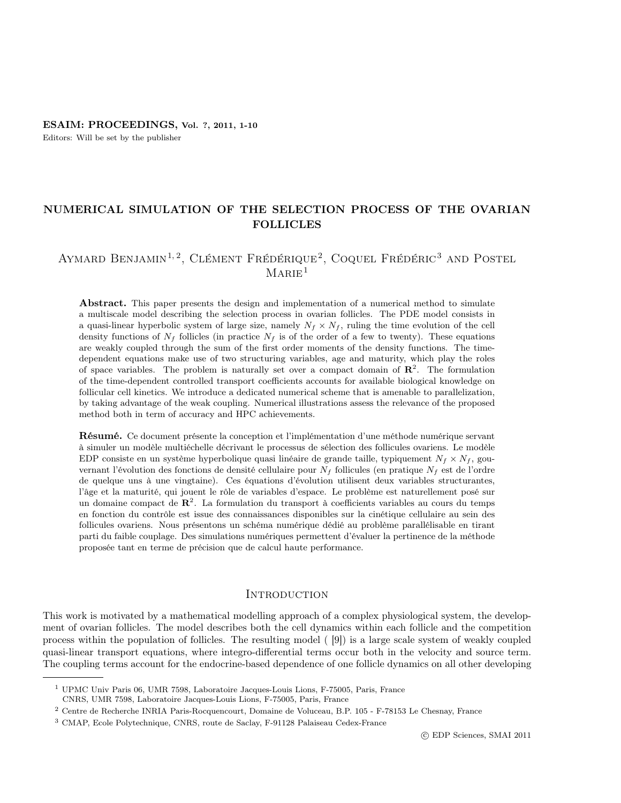Editors: Will be set by the publisher

## NUMERICAL SIMULATION OF THE SELECTION PROCESS OF THE OVARIAN FOLLICLES

# AYMARD BENJAMIN<sup>1,2</sup>, CLÉMENT FRÉDÉRIQUE<sup>2</sup>, COQUEL FRÉDÉRIC<sup>3</sup> AND POSTEL  $MARIE<sup>1</sup>$

Abstract. This paper presents the design and implementation of a numerical method to simulate a multiscale model describing the selection process in ovarian follicles. The PDE model consists in a quasi-linear hyperbolic system of large size, namely  $N_f \times N_f$ , ruling the time evolution of the cell density functions of  $N_f$  follicles (in practice  $N_f$  is of the order of a few to twenty). These equations are weakly coupled through the sum of the first order moments of the density functions. The timedependent equations make use of two structuring variables, age and maturity, which play the roles of space variables. The problem is naturally set over a compact domain of  $\mathbb{R}^2$ . The formulation of the time-dependent controlled transport coefficients accounts for available biological knowledge on follicular cell kinetics. We introduce a dedicated numerical scheme that is amenable to parallelization, by taking advantage of the weak coupling. Numerical illustrations assess the relevance of the proposed method both in term of accuracy and HPC achievements.

Résumé. Ce document présente la conception et l'implémentation d'une méthode numérique servant à simuler un modèle multiéchelle décrivant le processus de sélection des follicules ovariens. Le modèle EDP consiste en un système hyperbolique quasi linéaire de grande taille, typiquement  $N_f \times N_f$ , gouvernant l'évolution des fonctions de densité cellulaire pour  $N_f$  follicules (en pratique  $N_f$  est de l'ordre de quelque uns à une vingtaine). Ces équations d'évolution utilisent deux variables structurantes, l'âge et la maturité, qui jouent le rôle de variables d'espace. Le problème est naturellement posé sur un domaine compact de  $\mathbb{R}^2$ . La formulation du transport à coefficients variables au cours du temps en fonction du contrôle est issue des connaissances disponibles sur la cinétique cellulaire au sein des follicules ovariens. Nous présentons un schéma numérique dédié au problème parallélisable en tirant parti du faible couplage. Des simulations numériques permettent d'évaluer la pertinence de la méthode proposée tant en terme de précision que de calcul haute performance.

## **INTRODUCTION**

This work is motivated by a mathematical modelling approach of a complex physiological system, the development of ovarian follicles. The model describes both the cell dynamics within each follicle and the competition process within the population of follicles. The resulting model ( [9]) is a large scale system of weakly coupled quasi-linear transport equations, where integro-differential terms occur both in the velocity and source term. The coupling terms account for the endocrine-based dependence of one follicle dynamics on all other developing

CNRS, UMR 7598, Laboratoire Jacques-Louis Lions, F-75005, Paris, France

<sup>1</sup> UPMC Univ Paris 06, UMR 7598, Laboratoire Jacques-Louis Lions, F-75005, Paris, France

<sup>2</sup> Centre de Recherche INRIA Paris-Rocquencourt, Domaine de Voluceau, B.P. 105 - F-78153 Le Chesnay, France

<sup>3</sup> CMAP, Ecole Polytechnique, CNRS, route de Saclay, F-91128 Palaiseau Cedex-France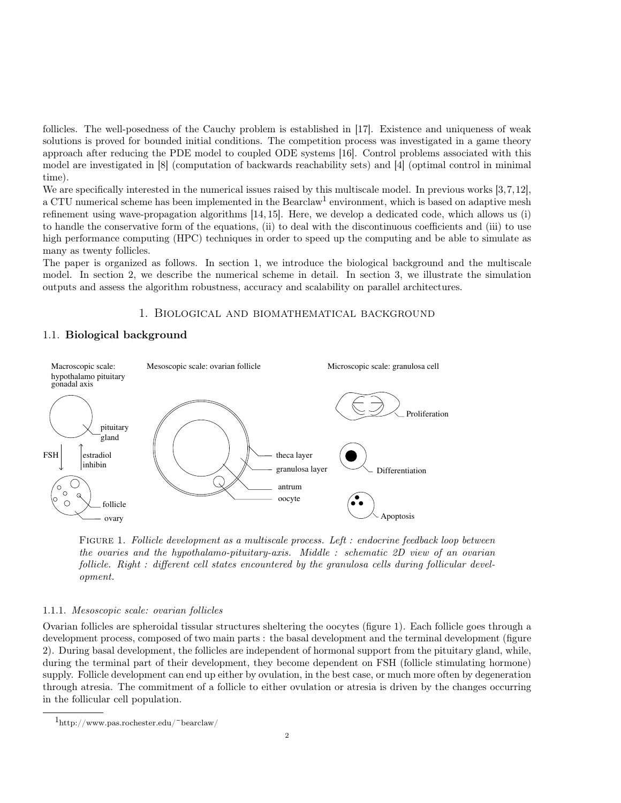follicles. The well-posedness of the Cauchy problem is established in [17]. Existence and uniqueness of weak solutions is proved for bounded initial conditions. The competition process was investigated in a game theory approach after reducing the PDE model to coupled ODE systems [16]. Control problems associated with this model are investigated in [8] (computation of backwards reachability sets) and [4] (optimal control in minimal time).

We are specifically interested in the numerical issues raised by this multiscale model. In previous works  $[3,7,12]$ , a CTU numerical scheme has been implemented in the Bearclaw<sup>1</sup> environment, which is based on adaptive mesh refinement using wave-propagation algorithms [14, 15]. Here, we develop a dedicated code, which allows us (i) to handle the conservative form of the equations, (ii) to deal with the discontinuous coefficients and (iii) to use high performance computing (HPC) techniques in order to speed up the computing and be able to simulate as many as twenty follicles.

The paper is organized as follows. In section 1, we introduce the biological background and the multiscale model. In section 2, we describe the numerical scheme in detail. In section 3, we illustrate the simulation outputs and assess the algorithm robustness, accuracy and scalability on parallel architectures.

## 1. Biological and biomathematical background

## 1.1. Biological background



Figure 1. Follicle development as a multiscale process. Left : endocrine feedback loop between the ovaries and the hypothalamo-pituitary-axis. Middle : schematic 2D view of an ovarian follicle. Right : different cell states encountered by the granulosa cells during follicular development.

### 1.1.1. Mesoscopic scale: ovarian follicles

Ovarian follicles are spheroidal tissular structures sheltering the oocytes (figure 1). Each follicle goes through a development process, composed of two main parts : the basal development and the terminal development (figure 2). During basal development, the follicles are independent of hormonal support from the pituitary gland, while, during the terminal part of their development, they become dependent on FSH (follicle stimulating hormone) supply. Follicle development can end up either by ovulation, in the best case, or much more often by degeneration through atresia. The commitment of a follicle to either ovulation or atresia is driven by the changes occurring in the follicular cell population.

 $1_{\text{http://www.pas.rochester.edu/~bearclaw/}}$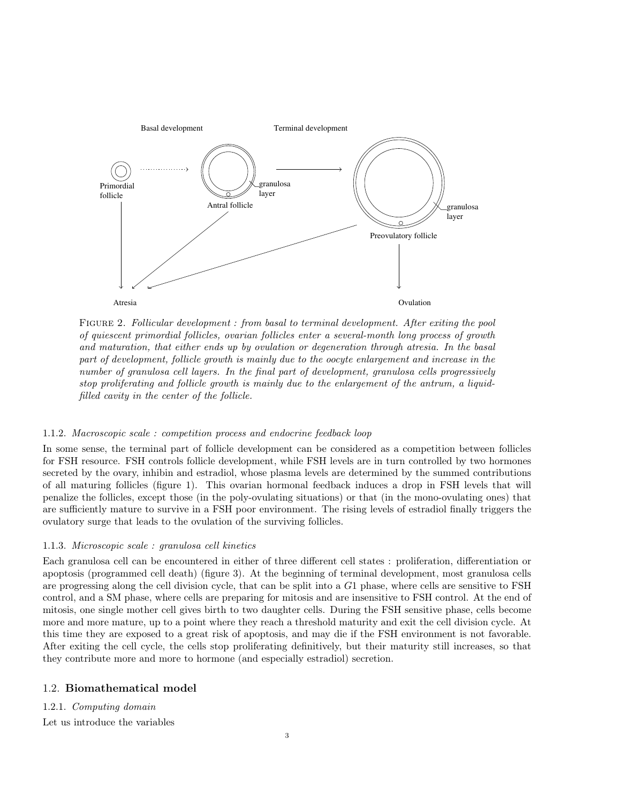

FIGURE 2. Follicular development : from basal to terminal development. After exiting the pool of quiescent primordial follicles, ovarian follicles enter a several-month long process of growth and maturation, that either ends up by ovulation or degeneration through atresia. In the basal part of development, follicle growth is mainly due to the oocyte enlargement and increase in the number of granulosa cell layers. In the final part of development, granulosa cells progressively stop proliferating and follicle growth is mainly due to the enlargement of the antrum, a liquidfilled cavity in the center of the follicle.

### 1.1.2. Macroscopic scale : competition process and endocrine feedback loop

In some sense, the terminal part of follicle development can be considered as a competition between follicles for FSH resource. FSH controls follicle development, while FSH levels are in turn controlled by two hormones secreted by the ovary, inhibin and estradiol, whose plasma levels are determined by the summed contributions of all maturing follicles (figure 1). This ovarian hormonal feedback induces a drop in FSH levels that will penalize the follicles, except those (in the poly-ovulating situations) or that (in the mono-ovulating ones) that are sufficiently mature to survive in a FSH poor environment. The rising levels of estradiol finally triggers the ovulatory surge that leads to the ovulation of the surviving follicles.

### 1.1.3. Microscopic scale : granulosa cell kinetics

Each granulosa cell can be encountered in either of three different cell states : proliferation, differentiation or apoptosis (programmed cell death) (figure 3). At the beginning of terminal development, most granulosa cells are progressing along the cell division cycle, that can be split into a G1 phase, where cells are sensitive to FSH control, and a SM phase, where cells are preparing for mitosis and are insensitive to FSH control. At the end of mitosis, one single mother cell gives birth to two daughter cells. During the FSH sensitive phase, cells become more and more mature, up to a point where they reach a threshold maturity and exit the cell division cycle. At this time they are exposed to a great risk of apoptosis, and may die if the FSH environment is not favorable. After exiting the cell cycle, the cells stop proliferating definitively, but their maturity still increases, so that they contribute more and more to hormone (and especially estradiol) secretion.

## 1.2. Biomathematical model

## 1.2.1. Computing domain

Let us introduce the variables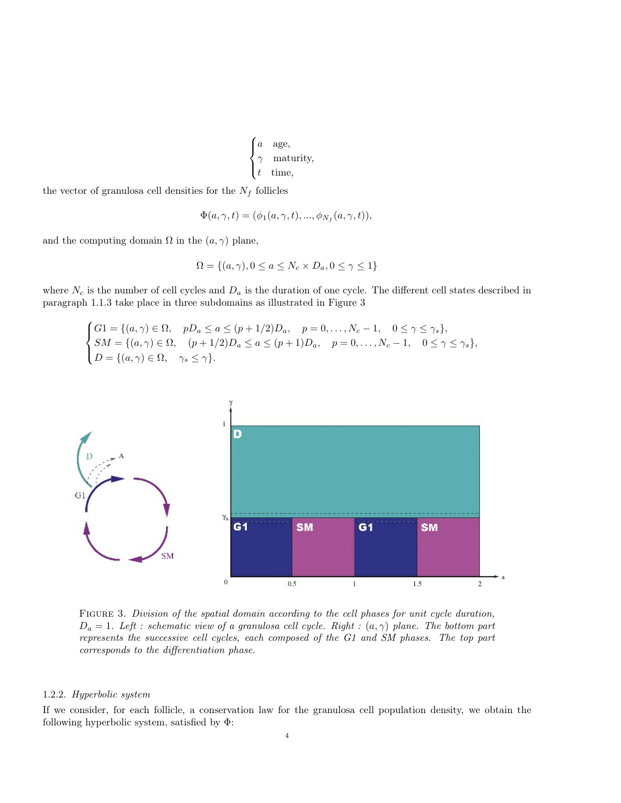```
\boldsymbol{a}\int\mathcal{L}a age,
         maturity,
         time,
```
the vector of granulosa cell densities for the  $N_f$  follicles

$$
\Phi(a,\gamma,t) = (\phi_1(a,\gamma,t),...,\phi_{N_f}(a,\gamma,t)),
$$

and the computing domain  $\Omega$  in the  $(a, \gamma)$  plane,

$$
\Omega = \{(a, \gamma), 0 \le a \le N_c \times D_a, 0 \le \gamma \le 1\}
$$

where  $N_c$  is the number of cell cycles and  $D_a$  is the duration of one cycle. The different cell states described in paragraph 1.1.3 take place in three subdomains as illustrated in Figure 3

$$
\begin{cases}\nG1 = \{(a, \gamma) \in \Omega, & pD_a \le a \le (p+1/2)D_a, \quad p = 0, \dots, N_c - 1, \quad 0 \le \gamma \le \gamma_s\}, \\
SM = \{(a, \gamma) \in \Omega, & (p+1/2)D_a \le a \le (p+1)D_a, \quad p = 0, \dots, N_c - 1, \quad 0 \le \gamma \le \gamma_s\}, \\
D = \{(a, \gamma) \in \Omega, & \gamma_s \le \gamma\}.\n\end{cases}
$$



FIGURE 3. Division of the spatial domain according to the cell phases for unit cycle duration,  $D_a = 1$ . Left : schematic view of a granulosa cell cycle. Right :  $(a, \gamma)$  plane. The bottom part represents the successive cell cycles, each composed of the G1 and SM phases. The top part corresponds to the differentiation phase.

#### 1.2.2. Hyperbolic system

If we consider, for each follicle, a conservation law for the granulosa cell population density, we obtain the following hyperbolic system, satisfied by Φ: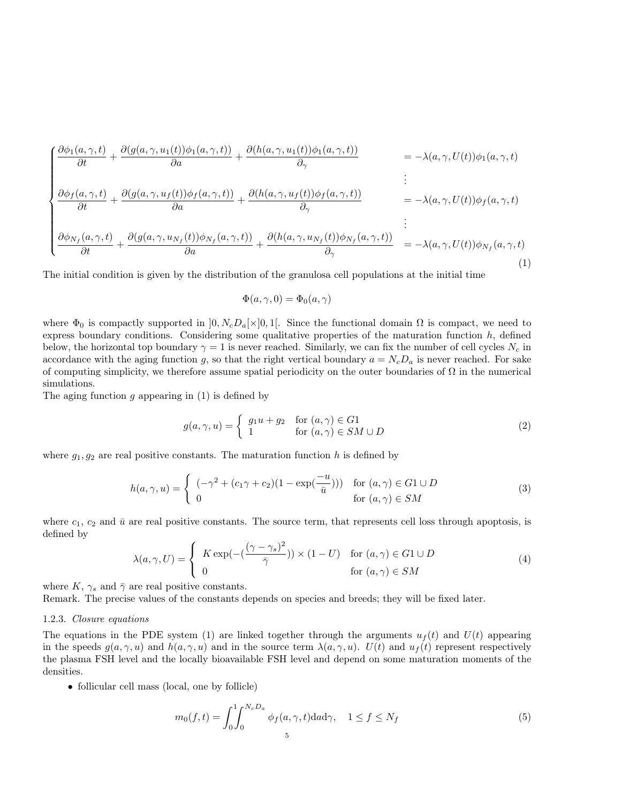$$
\begin{cases}\n\frac{\partial \phi_1(a, \gamma, t)}{\partial t} + \frac{\partial (g(a, \gamma, u_1(t))\phi_1(a, \gamma, t))}{\partial a} + \frac{\partial (h(a, \gamma, u_1(t))\phi_1(a, \gamma, t))}{\partial \gamma} & = -\lambda(a, \gamma, U(t))\phi_1(a, \gamma, t) \\
\frac{\partial \phi_f(a, \gamma, t)}{\partial t} + \frac{\partial (g(a, \gamma, u_f(t))\phi_f(a, \gamma, t))}{\partial a} + \frac{\partial (h(a, \gamma, u_f(t))\phi_f(a, \gamma, t))}{\partial \gamma} & = -\lambda(a, \gamma, U(t))\phi_f(a, \gamma, t) \\
\frac{\partial \phi_{N_f}(a, \gamma, t)}{\partial t} + \frac{\partial (g(a, \gamma, u_{N_f}(t))\phi_{N_f}(a, \gamma, t))}{\partial a} + \frac{\partial (h(a, \gamma, u_{N_f}(t))\phi_{N_f}(a, \gamma, t))}{\partial \gamma} & = -\lambda(a, \gamma, U(t))\phi_{N_f}(a, \gamma, t)\n\end{cases} (1)
$$

The initial condition is given by the distribution of the granulosa cell populations at the initial time

$$
\Phi(a,\gamma,0) = \Phi_0(a,\gamma)
$$

where  $\Phi_0$  is compactly supported in  $[0, N_cD_a[\times]0, 1]$ . Since the functional domain  $\Omega$  is compact, we need to express boundary conditions. Considering some qualitative properties of the maturation function  $h$ , defined below, the horizontal top boundary  $\gamma = 1$  is never reached. Similarly, we can fix the number of cell cycles  $N_c$  in accordance with the aging function g, so that the right vertical boundary  $a = N_c D_a$  is never reached. For sake of computing simplicity, we therefore assume spatial periodicity on the outer boundaries of  $\Omega$  in the numerical simulations.

The aging function  $g$  appearing in  $(1)$  is defined by

$$
g(a,\gamma,u) = \begin{cases} g_1u + g_2 & \text{for } (a,\gamma) \in G_1 \\ 1 & \text{for } (a,\gamma) \in SM \cup D \end{cases}
$$
 (2)

where  $g_1, g_2$  are real positive constants. The maturation function h is defined by

$$
h(a,\gamma,u) = \begin{cases} (-\gamma^2 + (c_1\gamma + c_2)(1 - \exp(\frac{-u}{\bar{u}}))) & \text{for } (a,\gamma) \in G1 \cup D \\ 0 & \text{for } (a,\gamma) \in SM \end{cases}
$$
(3)

where  $c_1, c_2$  and  $\bar{u}$  are real positive constants. The source term, that represents cell loss through apoptosis, is defined by

$$
\lambda(a,\gamma,U) = \begin{cases}\nK \exp\left(-\left(\frac{(\gamma-\gamma_s)^2}{\bar{\gamma}}\right)\right) \times (1-U) & \text{for } (a,\gamma) \in G1 \cup D \\
0 & \text{for } (a,\gamma) \in SM\n\end{cases}
$$
\n(4)

where K,  $\gamma_s$  and  $\bar{\gamma}$  are real positive constants.

Remark. The precise values of the constants depends on species and breeds; they will be fixed later.

### 1.2.3. Closure equations

The equations in the PDE system (1) are linked together through the arguments  $u_f(t)$  and  $U(t)$  appearing in the speeds  $g(a, \gamma, u)$  and  $h(a, \gamma, u)$  and in the source term  $\lambda(a, \gamma, u)$ .  $U(t)$  and  $u_f(t)$  represent respectively the plasma FSH level and the locally bioavailable FSH level and depend on some maturation moments of the densities.

• follicular cell mass (local, one by follicle)

$$
m_0(f,t) = \int_0^1 \int_0^{N_c D_a} \phi_f(a,\gamma,t) \, \mathrm{d}a \, \mathrm{d}\gamma, \quad 1 \le f \le N_f \tag{5}
$$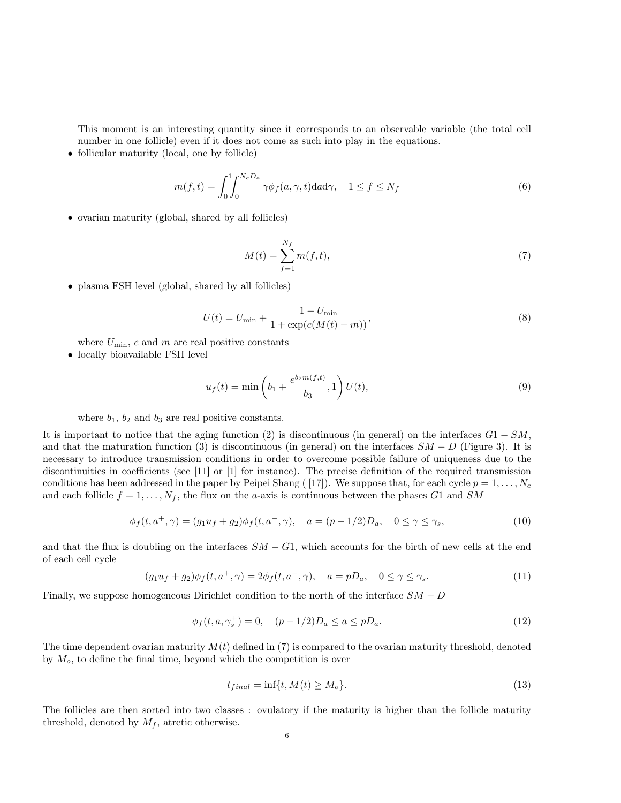This moment is an interesting quantity since it corresponds to an observable variable (the total cell number in one follicle) even if it does not come as such into play in the equations.

• follicular maturity (local, one by follicle)

$$
m(f,t) = \int_0^1 \int_0^{N_c D_a} \gamma \phi_f(a,\gamma,t) \mathrm{d}a \mathrm{d}\gamma, \quad 1 \le f \le N_f \tag{6}
$$

• ovarian maturity (global, shared by all follicles)

$$
M(t) = \sum_{f=1}^{N_f} m(f, t),
$$
\n(7)

• plasma FSH level (global, shared by all follicles)

$$
U(t) = U_{\min} + \frac{1 - U_{\min}}{1 + \exp(c(M(t) - m))},
$$
\n(8)

where  $U_{\text{min}}$ , c and m are real positive constants

• locally bioavailable FSH level

$$
u_f(t) = \min\left(b_1 + \frac{e^{b_2 m(f,t)}}{b_3}, 1\right) U(t),\tag{9}
$$

where  $b_1$ ,  $b_2$  and  $b_3$  are real positive constants.

It is important to notice that the aging function (2) is discontinuous (in general) on the interfaces  $G1 - SM$ , and that the maturation function (3) is discontinuous (in general) on the interfaces  $SM - D$  (Figure 3). It is necessary to introduce transmission conditions in order to overcome possible failure of uniqueness due to the discontinuities in coefficients (see [11] or [1] for instance). The precise definition of the required transmission conditions has been addressed in the paper by Peipei Shang ([17]). We suppose that, for each cycle  $p = 1, \ldots, N_c$ and each follicle  $f = 1, \ldots, N_f$ , the flux on the *a*-axis is continuous between the phases G1 and SM

$$
\phi_f(t, a^+, \gamma) = (g_1 u_f + g_2) \phi_f(t, a^-, \gamma), \quad a = (p - 1/2) D_a, \quad 0 \le \gamma \le \gamma_s,
$$
\n(10)

and that the flux is doubling on the interfaces  $SM - G1$ , which accounts for the birth of new cells at the end of each cell cycle

$$
(g_1u_f+g_2)\phi_f(t,a^+,\gamma)=2\phi_f(t,a^-,\gamma), \quad a=pD_a, \quad 0\leq \gamma\leq \gamma_s. \tag{11}
$$

Finally, we suppose homogeneous Dirichlet condition to the north of the interface  $SM - D$ 

$$
\phi_f(t, a, \gamma_s^+) = 0, \quad (p - 1/2)D_a \le a \le pD_a.
$$
\n(12)

The time dependent ovarian maturity  $M(t)$  defined in (7) is compared to the ovarian maturity threshold, denoted by  $M<sub>o</sub>$ , to define the final time, beyond which the competition is over

$$
t_{final} = \inf\{t, M(t) \ge M_o\}.
$$
\n<sup>(13)</sup>

The follicles are then sorted into two classes : ovulatory if the maturity is higher than the follicle maturity threshold, denoted by  $M_f$ , atretic otherwise.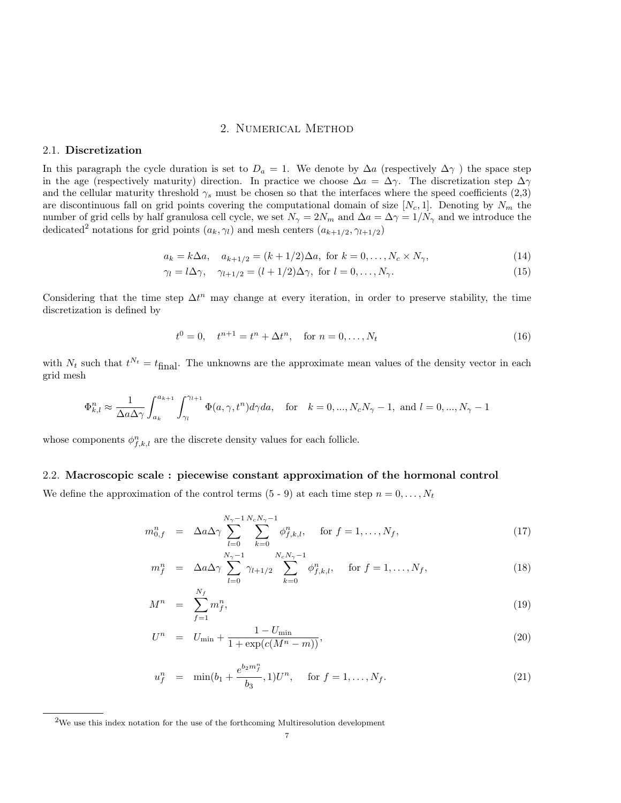## 2. Numerical Method

## 2.1. Discretization

In this paragraph the cycle duration is set to  $D_a = 1$ . We denote by  $\Delta a$  (respectively  $\Delta \gamma$ ) the space step in the age (respectively maturity) direction. In practice we choose  $\Delta a = \Delta \gamma$ . The discretization step  $\Delta \gamma$ and the cellular maturity threshold  $\gamma_s$  must be chosen so that the interfaces where the speed coefficients (2,3) are discontinuous fall on grid points covering the computational domain of size  $[N_c, 1]$ . Denoting by  $N_m$  the number of grid cells by half granulosa cell cycle, we set  $N_{\gamma} = 2N_m$  and  $\Delta a = \Delta \gamma = 1/N_{\gamma}$  and we introduce the dedicated<sup>2</sup> notations for grid points  $(a_k, \gamma_l)$  and mesh centers  $(a_{k+1/2}, \gamma_{l+1/2})$ 

$$
a_k = k\Delta a, \quad a_{k+1/2} = (k+1/2)\Delta a, \text{ for } k = 0, ..., N_c \times N_\gamma,
$$
 (14)

$$
\gamma_l = l \Delta \gamma, \quad \gamma_{l+1/2} = (l+1/2)\Delta \gamma, \text{ for } l = 0, \dots, N_\gamma. \tag{15}
$$

Considering that the time step  $\Delta t^n$  may change at every iteration, in order to preserve stability, the time discretization is defined by

$$
t^{0} = 0, \quad t^{n+1} = t^{n} + \Delta t^{n}, \quad \text{for } n = 0, \dots, N_{t}
$$
\n(16)

with  $N_t$  such that  $t^{N_t} = t_{\text{final}}$ . The unknowns are the approximate mean values of the density vector in each grid mesh

$$
\Phi_{k,l}^{n} \approx \frac{1}{\Delta a \Delta \gamma} \int_{a_k}^{a_{k+1}} \int_{\gamma_l}^{\gamma_{l+1}} \Phi(a, \gamma, t^n) d\gamma da, \quad \text{for} \quad k = 0, ..., N_c N_\gamma - 1, \text{ and } l = 0, ..., N_\gamma - 1
$$

whose components  $\phi_{f,k,l}^n$  are the discrete density values for each follicle.

## 2.2. Macroscopic scale : piecewise constant approximation of the hormonal control

We define the approximation of the control terms  $(5 - 9)$  at each time step  $n = 0, \ldots, N_t$ 

$$
m_{0,f}^n = \Delta a \Delta \gamma \sum_{l=0}^{N_{\gamma}-1} \sum_{k=0}^{N_c N_{\gamma}-1} \phi_{f,k,l}^n, \quad \text{for } f = 1, \dots, N_f,
$$
 (17)

$$
m_f^n = \Delta a \Delta \gamma \sum_{l=0}^{N_{\gamma}-1} \gamma_{l+1/2} \sum_{k=0}^{N_c N_{\gamma}-1} \phi_{f,k,l}^n, \quad \text{for } f = 1, ..., N_f,
$$
 (18)

$$
M^n = \sum_{f=1}^{N_f} m_f^n,
$$
\n(19)

$$
U^{n} = U_{\min} + \frac{1 - U_{\min}}{1 + \exp(c(M^{n} - m))},
$$
\n(20)

$$
u_f^n = \min(b_1 + \frac{e^{b_2 m_f^n}}{b_3}, 1)U^n, \quad \text{for } f = 1, ..., N_f.
$$
 (21)

<sup>2</sup>We use this index notation for the use of the forthcoming Multiresolution development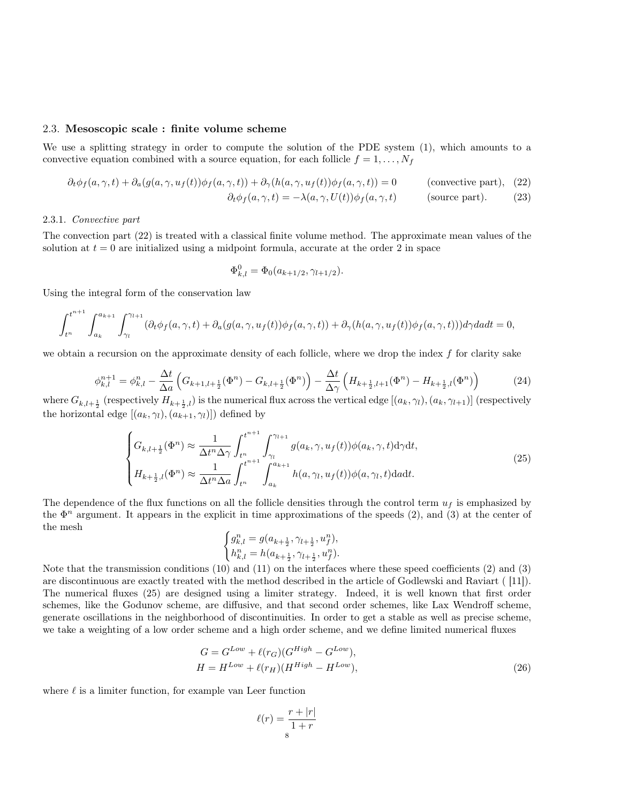## 2.3. Mesoscopic scale : finite volume scheme

We use a splitting strategy in order to compute the solution of the PDE system (1), which amounts to a convective equation combined with a source equation, for each follicle  $f = 1, \ldots, N_f$ 

$$
\partial_t \phi_f(a, \gamma, t) + \partial_a(g(a, \gamma, u_f(t))\phi_f(a, \gamma, t)) + \partial_\gamma(h(a, \gamma, u_f(t))\phi_f(a, \gamma, t)) = 0 \qquad \text{(consecutive part)}, \tag{22}
$$
\n
$$
\partial_t \phi_f(a, \gamma, t) = -\lambda(a, \gamma, U(t))\phi_f(a, \gamma, t) \qquad \text{(source part)}. \tag{23}
$$

### 2.3.1. Convective part

The convection part (22) is treated with a classical finite volume method. The approximate mean values of the solution at  $t = 0$  are initialized using a midpoint formula, accurate at the order 2 in space

$$
\Phi_{k,l}^0 = \Phi_0(a_{k+1/2}, \gamma_{l+1/2}).
$$

Using the integral form of the conservation law

$$
\int_{t^n}^{t^{n+1}} \int_{a_k}^{a_{k+1}} \int_{\gamma_l}^{\gamma_{l+1}} (\partial_t \phi_f(a, \gamma, t) + \partial_a (g(a, \gamma, u_f(t))\phi_f(a, \gamma, t)) + \partial_\gamma (h(a, \gamma, u_f(t))\phi_f(a, \gamma, t))) d\gamma da dt = 0,
$$

we obtain a recursion on the approximate density of each follicle, where we drop the index f for clarity sake

$$
\phi_{k,l}^{n+1} = \phi_{k,l}^n - \frac{\Delta t}{\Delta a} \left( G_{k+1,l+\frac{1}{2}}(\Phi^n) - G_{k,l+\frac{1}{2}}(\Phi^n) \right) - \frac{\Delta t}{\Delta \gamma} \left( H_{k+\frac{1}{2},l+1}(\Phi^n) - H_{k+\frac{1}{2},l}(\Phi^n) \right) \tag{24}
$$

where  $G_{k,l+\frac{1}{2}}$  (respectively  $H_{k+\frac{1}{2},l}$ ) is the numerical flux across the vertical edge  $[(a_k,\gamma_l),(a_k,\gamma_{l+1})]$  (respectively the horizontal edge  $[(a_k, \gamma_l), (a_{k+1}, \gamma_l)]$  defined by

$$
\begin{cases}\nG_{k,l+\frac{1}{2}}(\Phi^n) \approx \frac{1}{\Delta t^n \Delta \gamma} \int_{t^n}^{t^{n+1}} \int_{\gamma_l}^{\gamma_{l+1}} g(a_k, \gamma, u_f(t)) \phi(a_k, \gamma, t) d\gamma dt, \\
H_{k+\frac{1}{2},l}(\Phi^n) \approx \frac{1}{\Delta t^n \Delta a} \int_{t^n}^{t^{n+1}} \int_{a_k}^{a_{k+1}} h(a, \gamma_l, u_f(t)) \phi(a, \gamma_l, t) d\alpha dt.\n\end{cases}
$$
\n(25)

The dependence of the flux functions on all the follicle densities through the control term  $u_f$  is emphasized by the  $\Phi^n$  argument. It appears in the explicit in time approximations of the speeds (2), and (3) at the center of the mesh

$$
\begin{cases} g_{k,l}^n = g(a_{k+\frac{1}{2}},\gamma_{l+\frac{1}{2}},u_f^n), \\ h_{k,l}^n = h(a_{k+\frac{1}{2}},\gamma_{l+\frac{1}{2}},u_f^n). \end{cases}
$$

Note that the transmission conditions (10) and (11) on the interfaces where these speed coefficients (2) and (3) are discontinuous are exactly treated with the method described in the article of Godlewski and Raviart ( [11]). The numerical fluxes (25) are designed using a limiter strategy. Indeed, it is well known that first order schemes, like the Godunov scheme, are diffusive, and that second order schemes, like Lax Wendroff scheme, generate oscillations in the neighborhood of discontinuities. In order to get a stable as well as precise scheme, we take a weighting of a low order scheme and a high order scheme, and we define limited numerical fluxes

$$
G = G^{Low} + \ell(r_G)(G^{High} - G^{Low}),
$$
  
\n
$$
H = H^{Low} + \ell(r_H)(H^{High} - H^{Low}),
$$
\n(26)

where  $\ell$  is a limiter function, for example van Leer function

$$
\ell(r) = \frac{r + |r|}{1 + r}
$$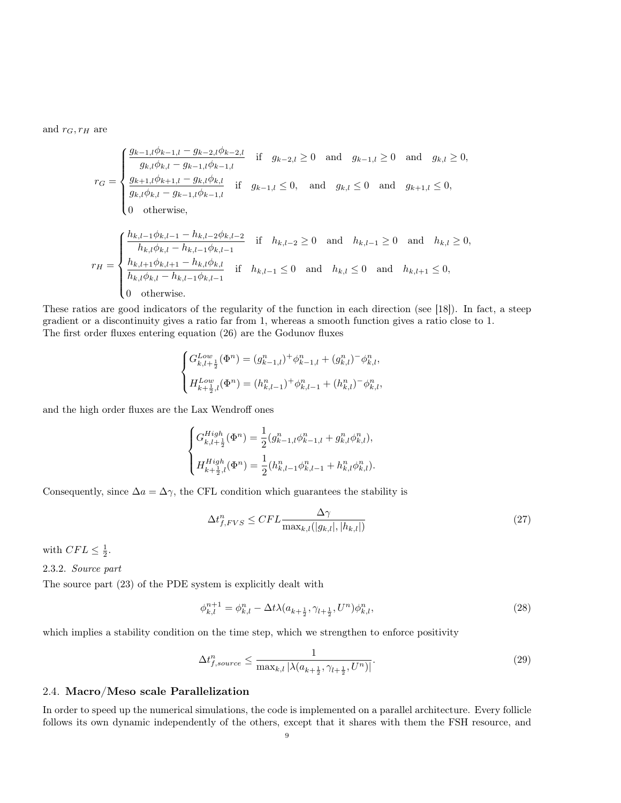and  $r_G, r_H$  are

$$
r_G = \begin{cases} \frac{g_{k-1,l}\phi_{k-1,l} - g_{k-2,l}\phi_{k-2,l}}{g_{k,l}\phi_{k,l} - g_{k-1,l}\phi_{k-1,l}} & \text{if } g_{k-2,l} \ge 0 \text{ and } g_{k-1,l} \ge 0 \text{ and } g_{k,l} \ge 0, \\ \frac{g_{k+1,l}\phi_{k+1,l} - g_{k,l}\phi_{k,l}}{g_{k,l}\phi_{k,l} - g_{k-1,l}\phi_{k-1,l}} & \text{if } g_{k-1,l} \le 0, \text{ and } g_{k,l} \le 0 \text{ and } g_{k+1,l} \le 0, \\ 0 & \text{otherwise,} \end{cases}
$$
  

$$
r_H = \begin{cases} \frac{h_{k,l-1}\phi_{k,l-1} - h_{k,l-2}\phi_{k,l-2}}{h_{k,l}\phi_{k,l} - h_{k,l-1}\phi_{k,l-1}} & \text{if } h_{k,l-2} \ge 0 \text{ and } h_{k,l-1} \ge 0 \text{ and } h_{k,l} \ge 0, \\ \frac{h_{k,l+1}\phi_{k,l+1} - h_{k,l}\phi_{k,l}}{h_{k,l}\phi_{k,l} - h_{k,l-1}\phi_{k,l-1}} & \text{if } h_{k,l-1} \le 0 \text{ and } h_{k,l} \le 0 \text{ and } h_{k,l+1} \le 0, \\ 0 & \text{otherwise.} \end{cases}
$$

These ratios are good indicators of the regularity of the function in each direction (see [18]). In fact, a steep gradient or a discontinuity gives a ratio far from 1, whereas a smooth function gives a ratio close to 1. The first order fluxes entering equation (26) are the Godunov fluxes

$$
\label{eq:Gk} \begin{cases} G^{Low}_{k,l+\frac{1}{2}}(\Phi^n) = (g^n_{k-1,l})^+ \phi^n_{k-1,l} + (g^n_{k,l})^- \phi^n_{k,l}, \\ H^{Low}_{k+\frac{1}{2},l}(\Phi^n) = (h^n_{k,l-1})^+ \phi^n_{k,l-1} + (h^n_{k,l})^- \phi^n_{k,l}, \end{cases}
$$

and the high order fluxes are the Lax Wendroff ones

$$
\begin{cases} G^{High}_{k,l+\frac{1}{2}}(\Phi^n) = \frac{1}{2} (g_{k-1,l}^n \phi_{k-1,l}^n + g_{k,l}^n \phi_{k,l}^n), \\ H^{High}_{k+\frac{1}{2},l}(\Phi^n) = \frac{1}{2} (h_{k,l-1}^n \phi_{k,l-1}^n + h_{k,l}^n \phi_{k,l}^n). \end{cases}
$$

Consequently, since  $\Delta a = \Delta \gamma$ , the CFL condition which guarantees the stability is

$$
\Delta t_{f, FVS}^{n} \leq CFL \frac{\Delta \gamma}{\max_{k,l}(|g_{k,l}|, |h_{k,l}|)}
$$
\n(27)

with  $CFL \leq \frac{1}{2}$ .

2.3.2. Source part

The source part (23) of the PDE system is explicitly dealt with

$$
\phi_{k,l}^{n+1} = \phi_{k,l}^n - \Delta t \lambda (a_{k+\frac{1}{2}}, \gamma_{l+\frac{1}{2}}, U^n) \phi_{k,l}^n, \tag{28}
$$

which implies a stability condition on the time step, which we strengthen to enforce positivity

$$
\Delta t_{f,source}^n \le \frac{1}{\max_{k,l} |\lambda(a_{k+\frac{1}{2}}, \gamma_{l+\frac{1}{2}}, U^n)|}.\tag{29}
$$

## 2.4. Macro/Meso scale Parallelization

In order to speed up the numerical simulations, the code is implemented on a parallel architecture. Every follicle follows its own dynamic independently of the others, except that it shares with them the FSH resource, and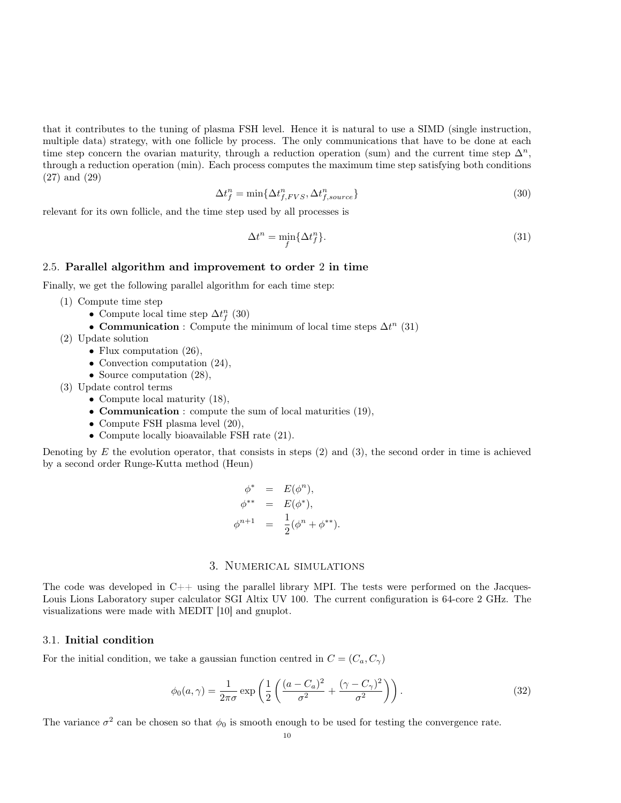that it contributes to the tuning of plasma FSH level. Hence it is natural to use a SIMD (single instruction, multiple data) strategy, with one follicle by process. The only communications that have to be done at each time step concern the ovarian maturity, through a reduction operation (sum) and the current time step  $\Delta^n$ , through a reduction operation (min). Each process computes the maximum time step satisfying both conditions (27) and (29)

$$
\Delta t_f^n = \min\{\Delta t_{f, FVS}^n, \Delta t_{f, source}^n\} \tag{30}
$$

relevant for its own follicle, and the time step used by all processes is

$$
\Delta t^n = \min_f \{ \Delta t_f^n \}. \tag{31}
$$

### 2.5. Parallel algorithm and improvement to order 2 in time

Finally, we get the following parallel algorithm for each time step:

- (1) Compute time step
	- Compute local time step  $\Delta t_f^n$  (30)
	- Communication : Compute the minimum of local time steps  $\Delta t^n$  (31)
- (2) Update solution
	- Flux computation  $(26)$ ,
	- Convection computation  $(24)$ ,
	- Source computation  $(28)$ ,
- (3) Update control terms
	- Compute local maturity  $(18)$ ,
	- Communication : compute the sum of local maturities (19),
	- Compute FSH plasma level (20),
	- Compute locally bioavailable FSH rate (21).

Denoting by  $E$  the evolution operator, that consists in steps  $(2)$  and  $(3)$ , the second order in time is achieved by a second order Runge-Kutta method (Heun)

$$
\begin{array}{rcl}\n\phi^* & = & E(\phi^n), \\
\phi^{**} & = & E(\phi^*), \\
\phi^{n+1} & = & \frac{1}{2}(\phi^n + \phi^{**}).\n\end{array}
$$

## 3. Numerical simulations

The code was developed in  $C_{++}$  using the parallel library MPI. The tests were performed on the Jacques-Louis Lions Laboratory super calculator SGI Altix UV 100. The current configuration is 64-core 2 GHz. The visualizations were made with MEDIT [10] and gnuplot.

## 3.1. Initial condition

For the initial condition, we take a gaussian function centred in  $C = (C_a, C_\gamma)$ 

$$
\phi_0(a,\gamma) = \frac{1}{2\pi\sigma} \exp\left(\frac{1}{2}\left(\frac{(a-C_a)^2}{\sigma^2} + \frac{(\gamma-C_\gamma)^2}{\sigma^2}\right)\right). \tag{32}
$$

The variance  $\sigma^2$  can be chosen so that  $\phi_0$  is smooth enough to be used for testing the convergence rate.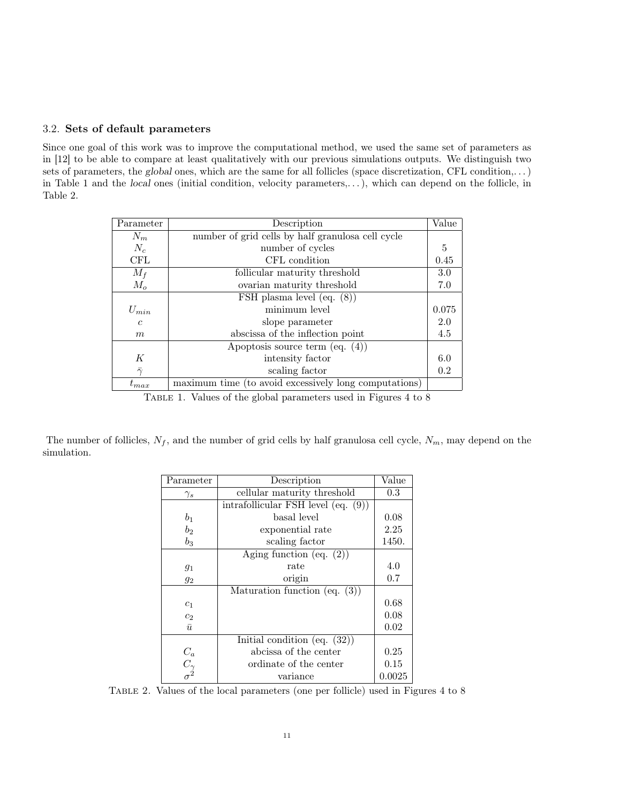## 3.2. Sets of default parameters

Since one goal of this work was to improve the computational method, we used the same set of parameters as in [12] to be able to compare at least qualitatively with our previous simulations outputs. We distinguish two sets of parameters, the global ones, which are the same for all follicles (space discretization, CFL condition,...) in Table 1 and the local ones (initial condition, velocity parameters,. . . ), which can depend on the follicle, in Table 2.

| Parameter      | Description                                           | Value |
|----------------|-------------------------------------------------------|-------|
| $N_m$          | number of grid cells by half granulosa cell cycle     |       |
| $N_c$          | number of cycles                                      | 5     |
| CFL            | CFL condition                                         | 0.45  |
| $M_f$          | follicular maturity threshold                         | 3.0   |
| $M_o$          | ovarian maturity threshold                            | 7.0   |
|                | FSH plasma level (eq. $(8)$ )                         |       |
| $U_{min}$      | minimum level                                         | 0.075 |
| $\mathfrak{c}$ | slope parameter                                       | 2.0   |
| m              | abscissa of the inflection point                      | 4.5   |
|                | Apoptosis source term $(eq. (4))$                     |       |
| K              | intensity factor                                      | 6.0   |
| $\bar{\gamma}$ | scaling factor                                        | 0.2   |
| $t_{max}$      | maximum time (to avoid excessively long computations) |       |

Table 1. Values of the global parameters used in Figures 4 to 8

The number of follicles,  $N_f$ , and the number of grid cells by half granulosa cell cycle,  $N_m$ , may depend on the simulation.

| Parameter                                                  | Description                           | Value  |
|------------------------------------------------------------|---------------------------------------|--------|
| $\gamma_s$                                                 | cellular maturity threshold           | 0.3    |
|                                                            | intrafollicular FSH level $(eq. (9))$ |        |
| $b_1$                                                      | basal level                           | 0.08   |
| b <sub>2</sub>                                             | exponential rate                      | 2.25   |
| $b_3$                                                      | scaling factor                        | 1450.  |
|                                                            | Aging function (eq. $(2)$ )           |        |
| $g_1$                                                      | rate                                  | 4.0    |
| $g_2$                                                      | origin                                | 0.7    |
|                                                            | Maturation function (eq. $(3)$ )      |        |
| $c_1$                                                      |                                       | 0.68   |
| c <sub>2</sub>                                             |                                       | 0.08   |
| $\bar{u}$                                                  |                                       | 0.02   |
|                                                            | Initial condition (eq. $(32)$ )       |        |
|                                                            | abcissa of the center                 | 0.25   |
| $\begin{array}{c} C_a \\ C_\gamma \\ \sigma^2 \end{array}$ | ordinate of the center                | 0.15   |
|                                                            | variance                              | 0.0025 |

Table 2. Values of the local parameters (one per follicle) used in Figures 4 to 8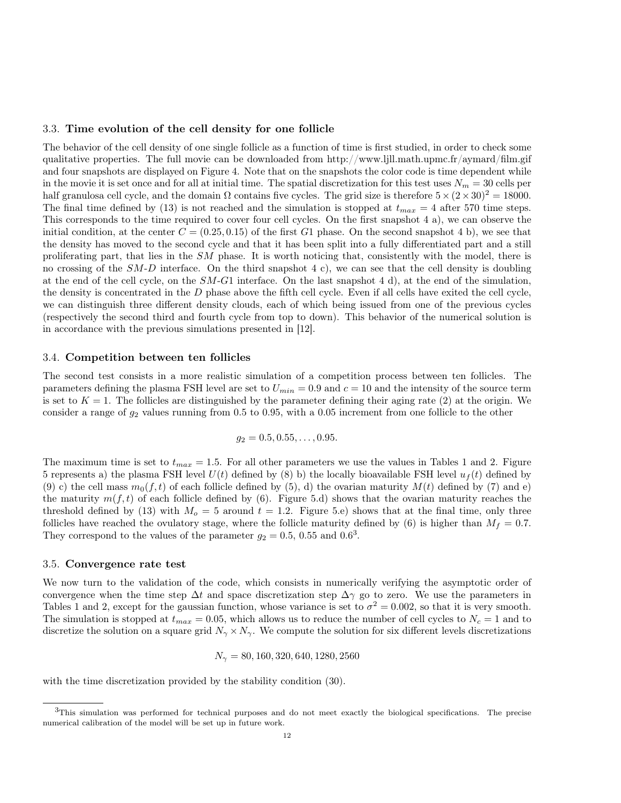### 3.3. Time evolution of the cell density for one follicle

The behavior of the cell density of one single follicle as a function of time is first studied, in order to check some qualitative properties. The full movie can be downloaded from http://www.ljll.math.upmc.fr/aymard/film.gif and four snapshots are displayed on Figure 4. Note that on the snapshots the color code is time dependent while in the movie it is set once and for all at initial time. The spatial discretization for this test uses  $N_m = 30$  cells per half granulosa cell cycle, and the domain  $\Omega$  contains five cycles. The grid size is therefore  $5 \times (2 \times 30)^2 = 18000$ . The final time defined by (13) is not reached and the simulation is stopped at  $t_{max} = 4$  after 570 time steps. This corresponds to the time required to cover four cell cycles. On the first snapshot 4 a), we can observe the initial condition, at the center  $C = (0.25, 0.15)$  of the first G1 phase. On the second snapshot 4 b), we see that the density has moved to the second cycle and that it has been split into a fully differentiated part and a still proliferating part, that lies in the SM phase. It is worth noticing that, consistently with the model, there is no crossing of the  $SM-D$  interface. On the third snapshot 4 c), we can see that the cell density is doubling at the end of the cell cycle, on the  $SM-G1$  interface. On the last snapshot 4 d), at the end of the simulation, the density is concentrated in the  $D$  phase above the fifth cell cycle. Even if all cells have exited the cell cycle, we can distinguish three different density clouds, each of which being issued from one of the previous cycles (respectively the second third and fourth cycle from top to down). This behavior of the numerical solution is in accordance with the previous simulations presented in [12].

### 3.4. Competition between ten follicles

The second test consists in a more realistic simulation of a competition process between ten follicles. The parameters defining the plasma FSH level are set to  $U_{min} = 0.9$  and  $c = 10$  and the intensity of the source term is set to  $K = 1$ . The follicles are distinguished by the parameter defining their aging rate (2) at the origin. We consider a range of  $g_2$  values running from 0.5 to 0.95, with a 0.05 increment from one follicle to the other

$$
g_2 = 0.5, 0.55, \ldots, 0.95.
$$

The maximum time is set to  $t_{max} = 1.5$ . For all other parameters we use the values in Tables 1 and 2. Figure 5 represents a) the plasma FSH level  $U(t)$  defined by (8) b) the locally bioavailable FSH level  $u_f(t)$  defined by (9) c) the cell mass  $m_0(f, t)$  of each follicle defined by (5), d) the ovarian maturity  $M(t)$  defined by (7) and e) the maturity  $m(f, t)$  of each follicle defined by (6). Figure 5.d) shows that the ovarian maturity reaches the threshold defined by (13) with  $M<sub>o</sub> = 5$  around  $t = 1.2$ . Figure 5.e) shows that at the final time, only three follicles have reached the ovulatory stage, where the follicle maturity defined by (6) is higher than  $M_f = 0.7$ . They correspond to the values of the parameter  $g_2 = 0.5, 0.55$  and  $0.6^3$ .

### 3.5. Convergence rate test

We now turn to the validation of the code, which consists in numerically verifying the asymptotic order of convergence when the time step  $\Delta t$  and space discretization step  $\Delta \gamma$  go to zero. We use the parameters in Tables 1 and 2, except for the gaussian function, whose variance is set to  $\sigma^2 = 0.002$ , so that it is very smooth. The simulation is stopped at  $t_{max} = 0.05$ , which allows us to reduce the number of cell cycles to  $N_c = 1$  and to discretize the solution on a square grid  $N_{\gamma} \times N_{\gamma}$ . We compute the solution for six different levels discretizations

$$
N_{\gamma} = 80, 160, 320, 640, 1280, 2560
$$

with the time discretization provided by the stability condition (30).

 $3$ This simulation was performed for technical purposes and do not meet exactly the biological specifications. The precise numerical calibration of the model will be set up in future work.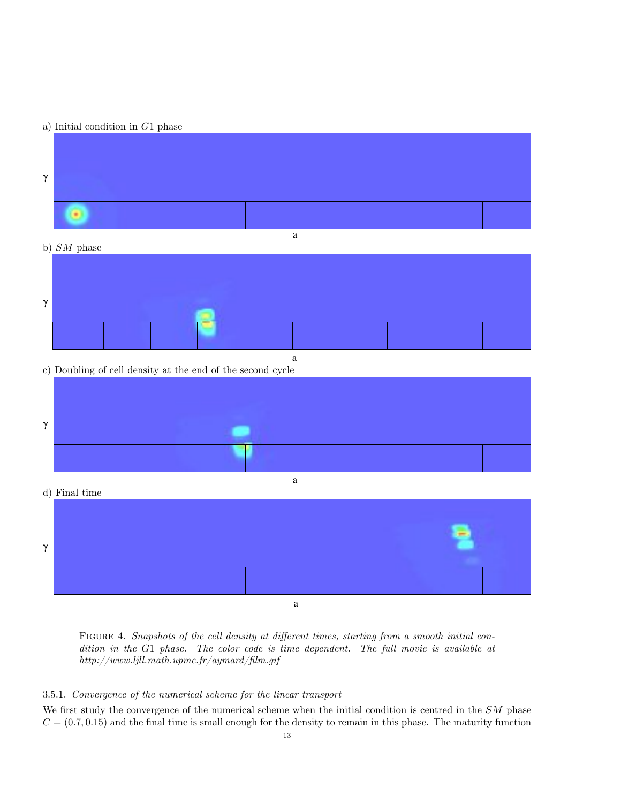## a) Initial condition in G1 phase





c) Doubling of cell density at the end of the second cycle



d) Final time a γ

Figure 4. Snapshots of the cell density at different times, starting from a smooth initial condition in the G1 phase. The color code is time dependent. The full movie is available at http://www.ljll.math.upmc.fr/aymard/film.gif

## 3.5.1. Convergence of the numerical scheme for the linear transport

We first study the convergence of the numerical scheme when the initial condition is centred in the SM phase  $C = (0.7, 0.15)$  and the final time is small enough for the density to remain in this phase. The maturity function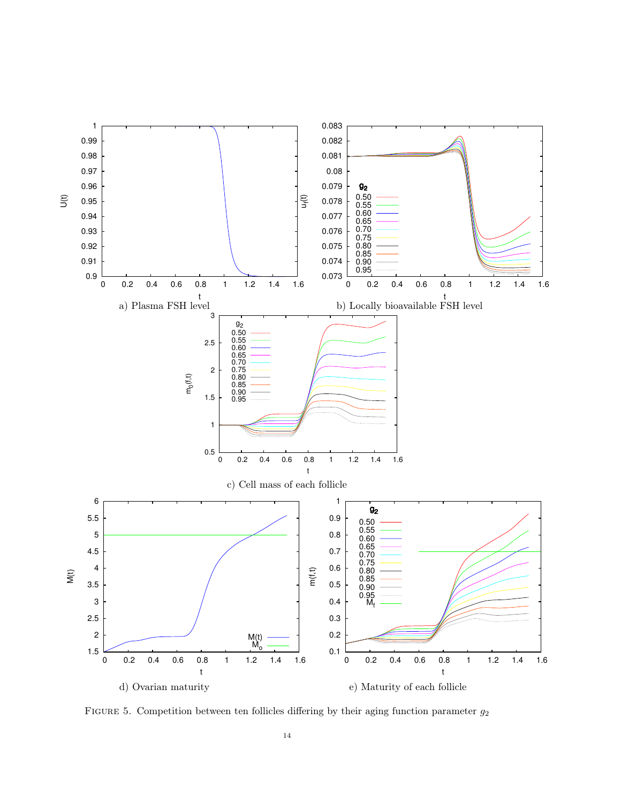

FIGURE 5. Competition between ten follicles differing by their aging function parameter  $g_2$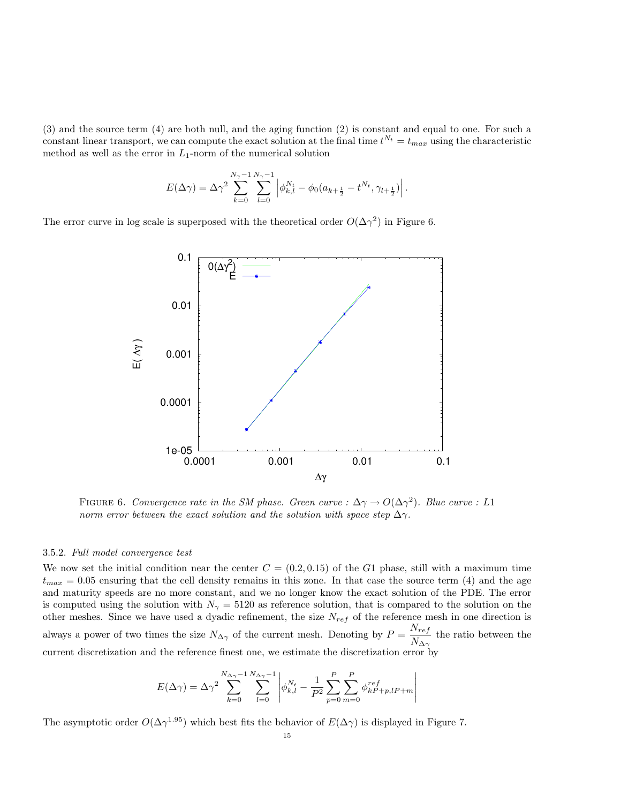(3) and the source term (4) are both null, and the aging function (2) is constant and equal to one. For such a constant linear transport, we can compute the exact solution at the final time  $t^{N_t} = t_{max}$  using the characteristic method as well as the error in  $L_1$ -norm of the numerical solution

$$
E(\Delta \gamma) = \Delta \gamma^2 \sum_{k=0}^{N_{\gamma}-1} \sum_{l=0}^{N_{\gamma}-1} \left| \phi_{k,l}^{N_t} - \phi_0 (a_{k+\frac{1}{2}} - t^{N_t}, \gamma_{l+\frac{1}{2}}) \right|.
$$

The error curve in log scale is superposed with the theoretical order  $O(\Delta \gamma^2)$  in Figure 6.



FIGURE 6. Convergence rate in the SM phase. Green curve :  $\Delta \gamma \to O(\Delta \gamma^2)$ . Blue curve : L1 norm error between the exact solution and the solution with space step  $\Delta \gamma$ .

### 3.5.2. Full model convergence test

We now set the initial condition near the center  $C = (0.2, 0.15)$  of the G1 phase, still with a maximum time  $t_{max} = 0.05$  ensuring that the cell density remains in this zone. In that case the source term (4) and the age and maturity speeds are no more constant, and we no longer know the exact solution of the PDE. The error is computed using the solution with  $N_{\gamma} = 5120$  as reference solution, that is compared to the solution on the other meshes. Since we have used a dyadic refinement, the size  $N_{ref}$  of the reference mesh in one direction is always a power of two times the size  $N_{\Delta\gamma}$  of the current mesh. Denoting by  $P = \frac{N_{ref}}{N_{ref}}$  $\frac{N_{Y}}{N_{\Delta\gamma}}$  the ratio between the current discretization and the reference finest one, we estimate the discretization error by

$$
E(\Delta \gamma) = \Delta \gamma^2 \sum_{k=0}^{N_{\Delta \gamma}-1} \sum_{l=0}^{N_{\Delta \gamma}-1} \left| \phi_{k,l}^{N_t} - \frac{1}{P^2} \sum_{p=0}^{P} \sum_{m=0}^{P} \phi_{k,P+p,l}^{ref} \right|
$$

The asymptotic order  $O(\Delta \gamma^{1.95})$  which best fits the behavior of  $E(\Delta \gamma)$  is displayed in Figure 7.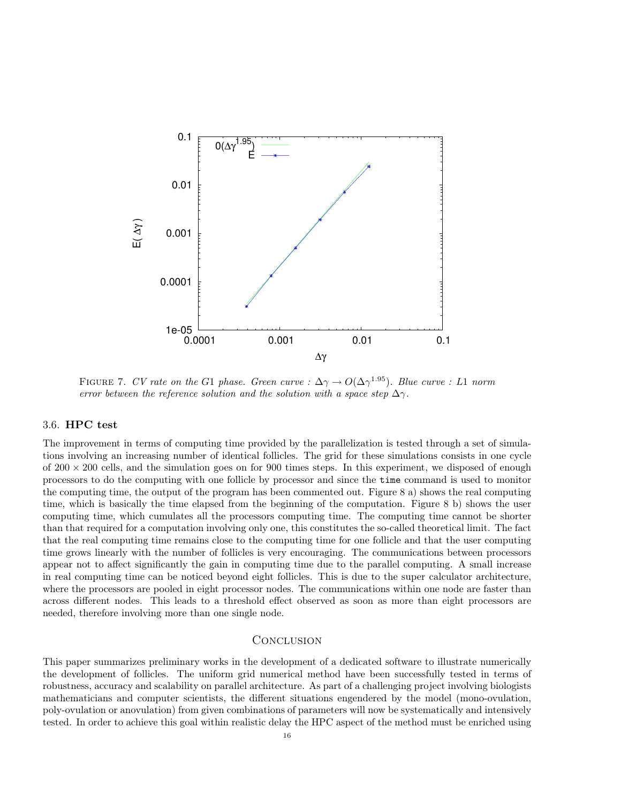

FIGURE 7. CV rate on the G1 phase. Green curve :  $\Delta \gamma \to O(\Delta \gamma^{1.95})$ . Blue curve : L1 norm error between the reference solution and the solution with a space step  $\Delta \gamma$ .

## 3.6. HPC test

The improvement in terms of computing time provided by the parallelization is tested through a set of simulations involving an increasing number of identical follicles. The grid for these simulations consists in one cycle of  $200 \times 200$  cells, and the simulation goes on for 900 times steps. In this experiment, we disposed of enough processors to do the computing with one follicle by processor and since the time command is used to monitor the computing time, the output of the program has been commented out. Figure 8 a) shows the real computing time, which is basically the time elapsed from the beginning of the computation. Figure 8 b) shows the user computing time, which cumulates all the processors computing time. The computing time cannot be shorter than that required for a computation involving only one, this constitutes the so-called theoretical limit. The fact that the real computing time remains close to the computing time for one follicle and that the user computing time grows linearly with the number of follicles is very encouraging. The communications between processors appear not to affect significantly the gain in computing time due to the parallel computing. A small increase in real computing time can be noticed beyond eight follicles. This is due to the super calculator architecture, where the processors are pooled in eight processor nodes. The communications within one node are faster than across different nodes. This leads to a threshold effect observed as soon as more than eight processors are needed, therefore involving more than one single node.

## **CONCLUSION**

This paper summarizes preliminary works in the development of a dedicated software to illustrate numerically the development of follicles. The uniform grid numerical method have been successfully tested in terms of robustness, accuracy and scalability on parallel architecture. As part of a challenging project involving biologists mathematicians and computer scientists, the different situations engendered by the model (mono-ovulation, poly-ovulation or anovulation) from given combinations of parameters will now be systematically and intensively tested. In order to achieve this goal within realistic delay the HPC aspect of the method must be enriched using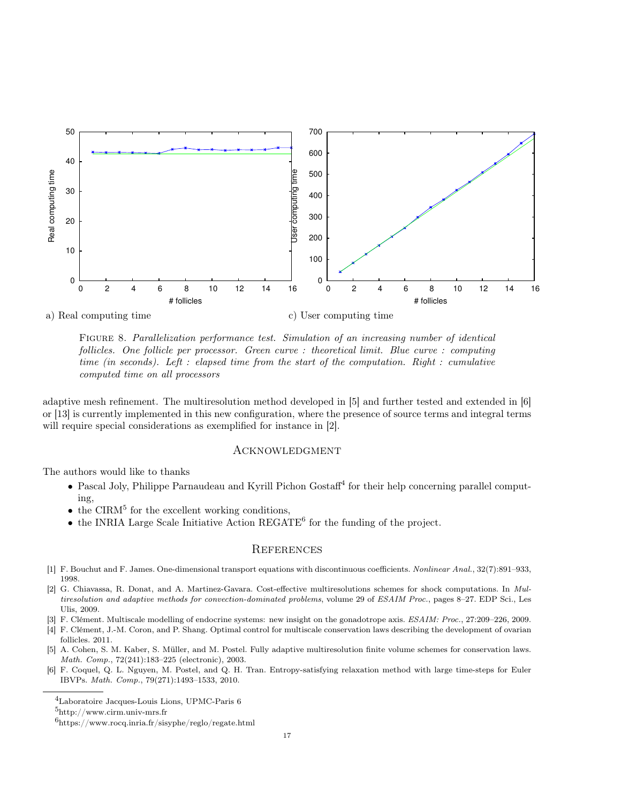

FIGURE 8. Parallelization performance test. Simulation of an increasing number of identical follicles. One follicle per processor. Green curve : theoretical limit. Blue curve : computing time (in seconds). Left : elapsed time from the start of the computation. Right : cumulative computed time on all processors

adaptive mesh refinement. The multiresolution method developed in [5] and further tested and extended in [6] or [13] is currently implemented in this new configuration, where the presence of source terms and integral terms will require special considerations as exemplified for instance in [2].

## **ACKNOWLEDGMENT**

The authors would like to thanks

- Pascal Joly, Philippe Parnaudeau and Kyrill Pichon Gostaff<sup>4</sup> for their help concerning parallel computing,
- $\bullet$  the CIRM<sup>5</sup> for the excellent working conditions,
- $\bullet$  the INRIA Large Scale Initiative Action REGATE<sup>6</sup> for the funding of the project.

## **REFERENCES**

- [1] F. Bouchut and F. James. One-dimensional transport equations with discontinuous coefficients. Nonlinear Anal., 32(7):891–933, 1998.
- [2] G. Chiavassa, R. Donat, and A. Martinez-Gavara. Cost-effective multiresolutions schemes for shock computations. In Multiresolution and adaptive methods for convection-dominated problems, volume 29 of ESAIM Proc., pages 8–27. EDP Sci., Les Ulis, 2009.
- [3] F. Clément. Multiscale modelling of endocrine systems: new insight on the gonadotrope axis. ESAIM: Proc., 27:209–226, 2009.
- [4] F. Clément, J.-M. Coron, and P. Shang. Optimal control for multiscale conservation laws describing the development of ovarian follicles. 2011.
- [5] A. Cohen, S. M. Kaber, S. Müller, and M. Postel. Fully adaptive multiresolution finite volume schemes for conservation laws. Math. Comp., 72(241):183–225 (electronic), 2003.
- [6] F. Coquel, Q. L. Nguyen, M. Postel, and Q. H. Tran. Entropy-satisfying relaxation method with large time-steps for Euler IBVPs. Math. Comp., 79(271):1493–1533, 2010.

<sup>4</sup>Laboratoire Jacques-Louis Lions, UPMC-Paris 6

<sup>5</sup>http://www.cirm.univ-mrs.fr

 $^{6}$ https://www.rocq.inria.fr/sisyphe/reglo/regate.html